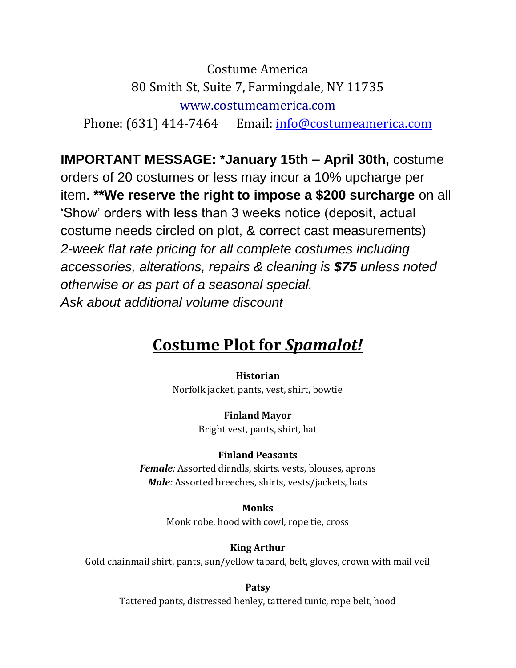Costume America 80 Smith St, Suite 7, Farmingdale, NY 11735 www.costumeamerica.com Phone: (631) 414-7464 Email: [info@costumeamerica.com](about:blank)

**IMPORTANT MESSAGE: \*January 15th – April 30th,** costume orders of 20 costumes or less may incur a 10% upcharge per item. **\*\*We reserve the right to impose a \$200 surcharge** on all 'Show' orders with less than 3 weeks notice (deposit, actual costume needs circled on plot, & correct cast measurements) *2-week flat rate pricing for all complete costumes including accessories, alterations, repairs & cleaning is \$75 unless noted otherwise or as part of a seasonal special. Ask about additional volume discount*

# **Costume Plot for** *Spamalot!*

**Historian**

Norfolk jacket, pants, vest, shirt, bowtie

**Finland Mayor** Bright vest, pants, shirt, hat

## **Finland Peasants**

*Female:* Assorted dirndls, skirts, vests, blouses, aprons *Male:* Assorted breeches, shirts, vests/jackets, hats

> **Monks** Monk robe, hood with cowl, rope tie, cross

> > **King Arthur**

Gold chainmail shirt, pants, sun/yellow tabard, belt, gloves, crown with mail veil

**Patsy** Tattered pants, distressed henley, tattered tunic, rope belt, hood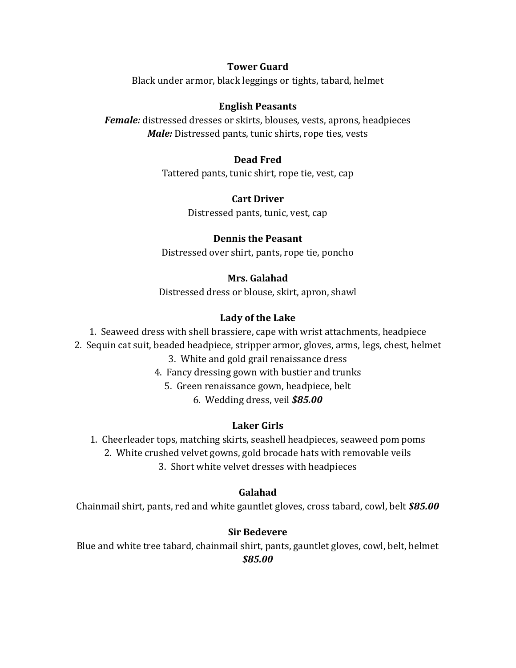## **Tower Guard**

Black under armor, black leggings or tights, tabard, helmet

## **English Peasants**

*Female:* distressed dresses or skirts, blouses, vests, aprons, headpieces *Male:* Distressed pants, tunic shirts, rope ties, vests

## **Dead Fred**

Tattered pants, tunic shirt, rope tie, vest, cap

## **Cart Driver**

Distressed pants, tunic, vest, cap

## **Dennis the Peasant**

Distressed over shirt, pants, rope tie, poncho

## **Mrs. Galahad**

Distressed dress or blouse, skirt, apron, shawl

## **Lady of the Lake**

1. Seaweed dress with shell brassiere, cape with wrist attachments, headpiece

2.Sequin cat suit, beaded headpiece, stripper armor, gloves, arms, legs, chest, helmet

3. White and gold grail renaissance dress

- 4. Fancy dressing gown with bustier and trunks
	- 5. Green renaissance gown, headpiece, belt

6. Wedding dress, veil *\$85.00*

## **Laker Girls**

- 1. Cheerleader tops, matching skirts, seashell headpieces, seaweed pom poms
	- 2. White crushed velvet gowns, gold brocade hats with removable veils

3. Short white velvet dresses with headpieces

## **Galahad**

Chainmail shirt, pants, red and white gauntlet gloves, cross tabard, cowl, belt *\$85.00*

## **Sir Bedevere**

Blue and white tree tabard, chainmail shirt, pants, gauntlet gloves, cowl, belt, helmet *\$85.00*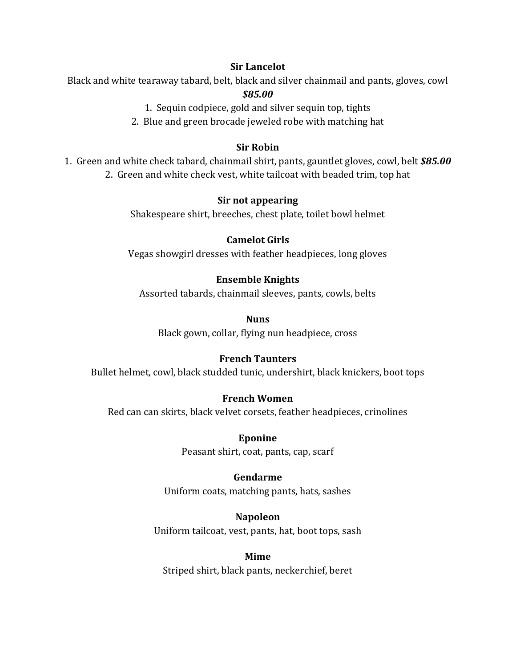#### **Sir Lancelot**

Black and white tearaway tabard, belt, black and silver chainmail and pants, gloves, cowl *\$85.00*

1. Sequin codpiece, gold and silver sequin top, tights

2. Blue and green brocade jeweled robe with matching hat

## **Sir Robin**

1. Green and white check tabard, chainmail shirt, pants, gauntlet gloves, cowl, belt *\$85.00* 2. Green and white check vest, white tailcoat with beaded trim, top hat

#### **Sir not appearing**

Shakespeare shirt, breeches, chest plate, toilet bowl helmet

## **Camelot Girls**

Vegas showgirl dresses with feather headpieces, long gloves

## **Ensemble Knights**

Assorted tabards, chainmail sleeves, pants, cowls, belts

#### **Nuns**

Black gown, collar, flying nun headpiece, cross

## **French Taunters**

Bullet helmet, cowl, black studded tunic, undershirt, black knickers, boot tops

## **French Women**

Red can can skirts, black velvet corsets, feather headpieces, crinolines

**Eponine** Peasant shirt, coat, pants, cap, scarf

## **Gendarme**

Uniform coats, matching pants, hats, sashes

**Napoleon** Uniform tailcoat, vest, pants, hat, boot tops, sash

**Mime** Striped shirt, black pants, neckerchief, beret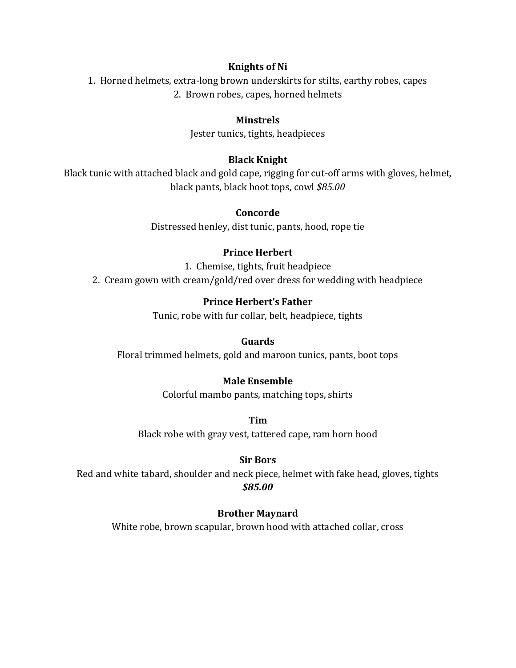#### **Knights of Ni**

1. Horned helmets, extra-long brown underskirts for stilts, earthy robes, capes 2. Brown robes, capes, horned helmets

## **Minstrels**

Jester tunics, tights, headpieces

## **Black Knight**

Black tunic with attached black and gold cape, rigging for cut-off arms with gloves, helmet, black pants, black boot tops, cowl *\$85.00*

#### **Concorde**

Distressed henley, dist tunic, pants, hood, rope tie

## **Prince Herbert**

1. Chemise, tights, fruit headpiece 2. Cream gown with cream/gold/red over dress for wedding with headpiece

## **Prince Herbert's Father**

Tunic, robe with fur collar, belt, headpiece, tights

**Guards**

Floral trimmed helmets, gold and maroon tunics, pants, boot tops

## **Male Ensemble**

Colorful mambo pants, matching tops, shirts

**Tim** Black robe with gray vest, tattered cape, ram horn hood

#### **Sir Bors**

Red and white tabard, shoulder and neck piece, helmet with fake head, gloves, tights *\$85.00*

## **Brother Maynard**

White robe, brown scapular, brown hood with attached collar, cross